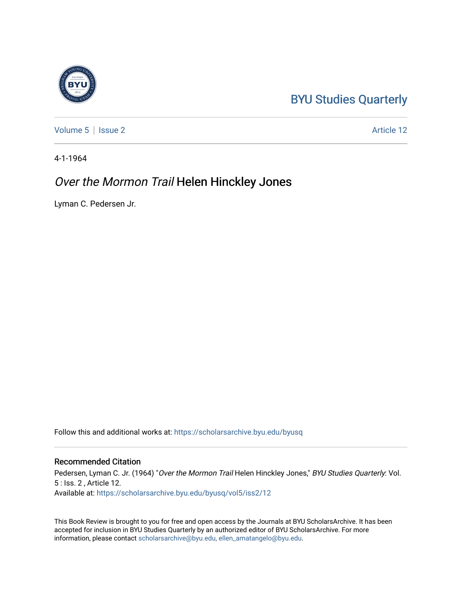## [BYU Studies Quarterly](https://scholarsarchive.byu.edu/byusq)

[Volume 5](https://scholarsarchive.byu.edu/byusq/vol5) | [Issue 2](https://scholarsarchive.byu.edu/byusq/vol5/iss2) Article 12

4-1-1964

### Over the Mormon Trail Helen Hinckley Jones

Lyman C. Pedersen Jr.

Follow this and additional works at: [https://scholarsarchive.byu.edu/byusq](https://scholarsarchive.byu.edu/byusq?utm_source=scholarsarchive.byu.edu%2Fbyusq%2Fvol5%2Fiss2%2F12&utm_medium=PDF&utm_campaign=PDFCoverPages) 

#### Recommended Citation

Pedersen, Lyman C. Jr. (1964) "Over the Mormon Trail Helen Hinckley Jones," BYU Studies Quarterly: Vol. 5 : Iss. 2 , Article 12. Available at: [https://scholarsarchive.byu.edu/byusq/vol5/iss2/12](https://scholarsarchive.byu.edu/byusq/vol5/iss2/12?utm_source=scholarsarchive.byu.edu%2Fbyusq%2Fvol5%2Fiss2%2F12&utm_medium=PDF&utm_campaign=PDFCoverPages)

This Book Review is brought to you for free and open access by the Journals at BYU ScholarsArchive. It has been accepted for inclusion in BYU Studies Quarterly by an authorized editor of BYU ScholarsArchive. For more information, please contact [scholarsarchive@byu.edu, ellen\\_amatangelo@byu.edu.](mailto:scholarsarchive@byu.edu,%20ellen_amatangelo@byu.edu)

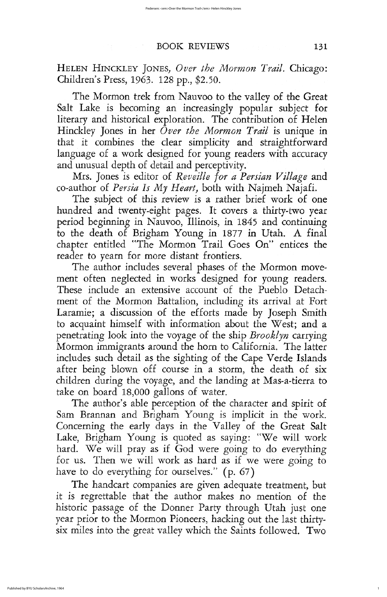The Mormon trek from Nauvoo to the valley of the Great salt lake is becoming an increasingly popular subject for literary and historical exploration. The contribution of Helen Hinckley Jones in her Over the Mormon Trail is unique in that it combines the clear simplicity and straightforward language of a work designed for young readers with accuracy and unusual depth of detail and perceptivity

Mrs. Jones is editor of Reveille for a Persian Village and co-author of Persia Is My Heart, both with Najmeh Najafi.

The subject of this review is a rather brief work of one hundred and twenty-eight pages. It covers a thirty-two year period beginning in Nauvoo, Illinois, in 1845 and continuing to the death of Brigham Young in 1877 in Utah. A final chapter entitled "The Mormon Trail Goes On" entices the reader to yearn for more distant frontiers

The author includes several phases of the Mormon movement often neglected in works designed for young readers These include an extensive account of the Pueblo Detachment of the Mormon Battalion, including its arrival at Fort Laramie; a discussion of the efforts made by Joseph Smith to acquaint himself with information about the West; and a penetrating look into the voyage of the ship *Brooklyn* carrying Mormon immigrants around the horn to California. The latter includes such detail as the sighting of the Cape Verde Islands after being blown off course in a storm, the death of six children during the voyage, and the landing at Mas-a-tierra to take on board 18,000 gallons of water. The author's able perception of the character and spirit of sam brannan and brigham young is implicit in the work Concerning the early days in the Valley of the Great Salt Lake, Brigham Young is quoted as saying: "We will work hard. We will pray as if God were going to do everything for us. Then we will work as hard as if we were going to have to do everything for ourselves."  $(p. 67)$ The handcart companies are given adequate treatment, but it is regrettable that the author makes no mention of the historic passage of the Donner Party through Utah just one year prior to the Mormon Pioneers, hacking out the last thirtysix miles into the great valley which the Saints followed. Two

1

## BOOK REVIEWS 131

HELEN HINCKLEY JONES, Over the Mormon Trail. Chicago: Children's Press, 1963. 128 pp., \$2.50.

h go